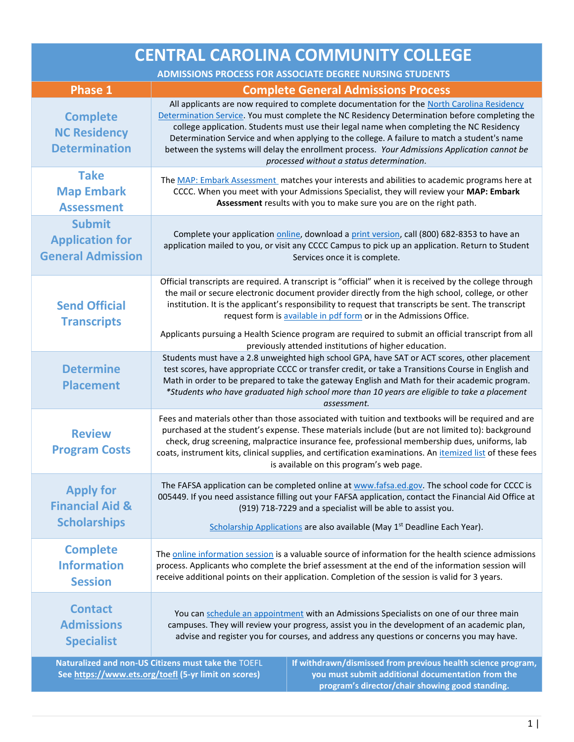| <b>CENTRAL CAROLINA COMMUNITY COLLEGE</b>                             |                                                                                                                                                                                                                                                                                                                                                                                                                                                                                                                                     |  |
|-----------------------------------------------------------------------|-------------------------------------------------------------------------------------------------------------------------------------------------------------------------------------------------------------------------------------------------------------------------------------------------------------------------------------------------------------------------------------------------------------------------------------------------------------------------------------------------------------------------------------|--|
| <b>ADMISSIONS PROCESS FOR ASSOCIATE DEGREE NURSING STUDENTS</b>       |                                                                                                                                                                                                                                                                                                                                                                                                                                                                                                                                     |  |
| <b>Phase 1</b>                                                        | <b>Complete General Admissions Process</b>                                                                                                                                                                                                                                                                                                                                                                                                                                                                                          |  |
| <b>Complete</b><br><b>NC Residency</b><br><b>Determination</b>        | All applicants are now required to complete documentation for the North Carolina Residency<br>Determination Service. You must complete the NC Residency Determination before completing the<br>college application. Students must use their legal name when completing the NC Residency<br>Determination Service and when applying to the college. A failure to match a student's name<br>between the systems will delay the enrollment process. Your Admissions Application cannot be<br>processed without a status determination. |  |
| <b>Take</b><br><b>Map Embark</b><br><b>Assessment</b>                 | The MAP: Embark Assessment matches your interests and abilities to academic programs here at<br>CCCC. When you meet with your Admissions Specialist, they will review your MAP: Embark<br>Assessment results with you to make sure you are on the right path.                                                                                                                                                                                                                                                                       |  |
| <b>Submit</b><br><b>Application for</b><br><b>General Admission</b>   | Complete your application online, download a print version, call (800) 682-8353 to have an<br>application mailed to you, or visit any CCCC Campus to pick up an application. Return to Student<br>Services once it is complete.                                                                                                                                                                                                                                                                                                     |  |
| <b>Send Official</b><br><b>Transcripts</b>                            | Official transcripts are required. A transcript is "official" when it is received by the college through<br>the mail or secure electronic document provider directly from the high school, college, or other<br>institution. It is the applicant's responsibility to request that transcripts be sent. The transcript<br>request form is available in pdf form or in the Admissions Office.                                                                                                                                         |  |
|                                                                       | Applicants pursuing a Health Science program are required to submit an official transcript from all<br>previously attended institutions of higher education.                                                                                                                                                                                                                                                                                                                                                                        |  |
| <b>Determine</b><br><b>Placement</b>                                  | Students must have a 2.8 unweighted high school GPA, have SAT or ACT scores, other placement<br>test scores, have appropriate CCCC or transfer credit, or take a Transitions Course in English and<br>Math in order to be prepared to take the gateway English and Math for their academic program.<br>*Students who have graduated high school more than 10 years are eligible to take a placement<br>assessment.                                                                                                                  |  |
| <b>Review</b><br><b>Program Costs</b>                                 | Fees and materials other than those associated with tuition and textbooks will be required and are<br>purchased at the student's expense. These materials include (but are not limited to): background<br>check, drug screening, malpractice insurance fee, professional membership dues, uniforms, lab<br>coats, instrument kits, clinical supplies, and certification examinations. An itemized list of these fees<br>is available on this program's web page.                                                                    |  |
| <b>Apply for</b><br><b>Financial Aid &amp;</b><br><b>Scholarships</b> | The FAFSA application can be completed online at www.fafsa.ed.gov. The school code for CCCC is<br>005449. If you need assistance filling out your FAFSA application, contact the Financial Aid Office at<br>(919) 718-7229 and a specialist will be able to assist you.                                                                                                                                                                                                                                                             |  |
|                                                                       | Scholarship Applications are also available (May 1 <sup>st</sup> Deadline Each Year).                                                                                                                                                                                                                                                                                                                                                                                                                                               |  |
| <b>Complete</b><br><b>Information</b><br><b>Session</b>               | The online information session is a valuable source of information for the health science admissions<br>process. Applicants who complete the brief assessment at the end of the information session will<br>receive additional points on their application. Completion of the session is valid for 3 years.                                                                                                                                                                                                                         |  |
| <b>Contact</b><br><b>Admissions</b><br><b>Specialist</b>              | You can schedule an appointment with an Admissions Specialists on one of our three main<br>campuses. They will review your progress, assist you in the development of an academic plan,<br>advise and register you for courses, and address any questions or concerns you may have.                                                                                                                                                                                                                                                 |  |
|                                                                       | Naturalized and non-US Citizens must take the TOEFL<br>If withdrawn/dismissed from previous health science program,<br>between from our ata and teach IF you limit an each<br>المسمعة المستقصف مستتملها المسمتقتاه أمامسان                                                                                                                                                                                                                                                                                                          |  |

**See [https://www.ets.org/toefl](https://www.google.com/url?q=https://www.ets.org/toefl&sa=D&source=hangouts&ust=1567012252154000&usg=AFQjCNGHbUeqGf6t56c-qWQle5FqcGUTEA) (5-yr limit on scores)**

**you must submit additional documentation from the program's director/chair showing good standing.**